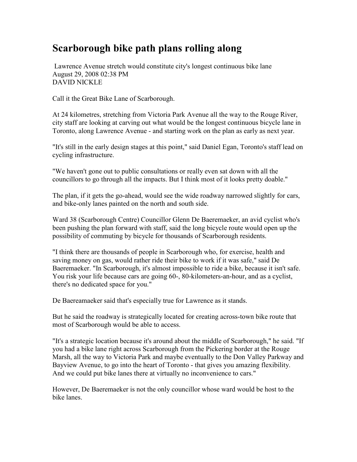## Scarborough bike path plans rolling along

 Lawrence Avenue stretch would constitute city's longest continuous bike lane August 29, 2008 02:38 PM DAVID NICKLE

Call it the Great Bike Lane of Scarborough.

At 24 kilometres, stretching from Victoria Park Avenue all the way to the Rouge River, city staff are looking at carving out what would be the longest continuous bicycle lane in Toronto, along Lawrence Avenue - and starting work on the plan as early as next year.

"It's still in the early design stages at this point," said Daniel Egan, Toronto's staff lead on cycling infrastructure.

"We haven't gone out to public consultations or really even sat down with all the councillors to go through all the impacts. But I think most of it looks pretty doable."

The plan, if it gets the go-ahead, would see the wide roadway narrowed slightly for cars, and bike-only lanes painted on the north and south side.

Ward 38 (Scarborough Centre) Councillor Glenn De Baeremaeker, an avid cyclist who's been pushing the plan forward with staff, said the long bicycle route would open up the possibility of commuting by bicycle for thousands of Scarborough residents.

"I think there are thousands of people in Scarborough who, for exercise, health and saving money on gas, would rather ride their bike to work if it was safe," said De Baeremaeker. "In Scarborough, it's almost impossible to ride a bike, because it isn't safe. You risk your life because cars are going 60-, 80-kilometers-an-hour, and as a cyclist, there's no dedicated space for you."

De Baereamaeker said that's especially true for Lawrence as it stands.

But he said the roadway is strategically located for creating across-town bike route that most of Scarborough would be able to access.

"It's a strategic location because it's around about the middle of Scarborough," he said. "If you had a bike lane right across Scarborough from the Pickering border at the Rouge Marsh, all the way to Victoria Park and maybe eventually to the Don Valley Parkway and Bayview Avenue, to go into the heart of Toronto - that gives you amazing flexibility. And we could put bike lanes there at virtually no inconvenience to cars."

However, De Baeremaeker is not the only councillor whose ward would be host to the bike lanes.